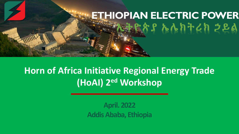# **ETHIOPIAN ELECTRIC POWER ኢትዮጵያ ኤሌክትሪክ ኃይል**

## **Horn of Africa Initiative Regional Energy Trade (HoAI) 2ed Workshop**

**April. 2022 Addis Ababa, Ethiopia**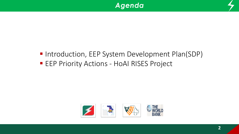



## ■ Introduction, EEP System Development Plan(SDP)

**EEP Priority Actions - HoAI RISES Project** 

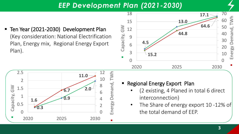#### *EEP Development Plan (2021-2030)*

■ Ten Year (2021-2030) Development Plan (Key consideration: National Electrification Plan, Energy mix, Regional Energy Export Plan).





- **Export Plan** 
	- (2 existing, 4 Planed in total 6 direct interconnection)
	- The Share of energy export 10-12% of the total demand of EEP.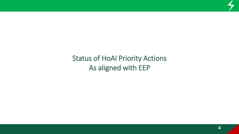## Status of HoAI Priority Actions As aligned with EEP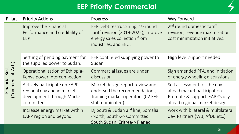## **EEP Priority Commercial**



| <b>Pillars</b>                      | <b>Priority Actions</b>                                                                               | Progress                                                                                                                                      | <b>Way Forward</b>                                                                                                        |
|-------------------------------------|-------------------------------------------------------------------------------------------------------|-----------------------------------------------------------------------------------------------------------------------------------------------|---------------------------------------------------------------------------------------------------------------------------|
| Financial Sust.<br>Commercial Act.) | Improve the Financial<br>Performance and credibility of<br>EEP.                                       | EEP Debt restructuring, 1 <sup>st</sup> round<br>tariff revision (2019-2022), improve<br>energy sales collection from<br>industries, and EEU. | 2 <sup>nd</sup> round domestic tariff<br>revision, revenue maximization<br>cost minimization initiatives.                 |
|                                     | Settling of pending payment for<br>the supplied power to Sudan.                                       | EEP continued supplying power to<br>Sudan                                                                                                     | High level support needed                                                                                                 |
|                                     | Operationalization of Ethiopia-<br>Kenya power interconnection                                        | Commercial issues are under<br>discussion                                                                                                     | Sign amended PPA, and initiation<br>of energy wheeling discussions                                                        |
|                                     | Actively participate on EAPP<br>regional day ahead market<br>development through Market<br>committee. | Market design report review and<br>endorsed the recommendations,<br>Training market operators (02 EEP<br>staff nominated)                     | Self assessment for the day<br>ahead market participation<br>Promote & support EAPP's day<br>ahead regional market design |
|                                     | Increase energy market within<br>EAPP region and beyond.                                              | Djibouti & Sudan 2 <sup>nd</sup> line, Somalia<br>(North, South),-> Committed<br>South Sudan, Eritrea-> Planed                                | work with bilateral & multilateral<br>dev. Partners (WB, AfDB etc.)                                                       |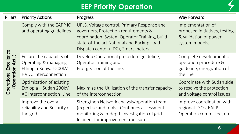#### **EEP Priority Operation**

| <b>Pillars</b>                             | <b>Priority Actions</b>                                                                                  | Progress                                                                                                                                                                                                                  | <b>Way Forward</b>                                                                            |
|--------------------------------------------|----------------------------------------------------------------------------------------------------------|---------------------------------------------------------------------------------------------------------------------------------------------------------------------------------------------------------------------------|-----------------------------------------------------------------------------------------------|
| Operational Excellence<br>(Operation Act.) | Comply with the EAPP IC<br>and operating guidelines                                                      | UFLS, Voltage control, Primary Response and<br>governors, Protection requirements &<br>coordination, System Operator Training, build<br>state-of-the art National and Backup Load<br>Dispatch center (LDC), Smart meters. | Implementation of<br>proposed initiatives, testing<br>& validation of power<br>system models, |
|                                            | Ensure the capability of<br>Operating & managing<br>Ethiopia-Kenya ±500kV<br><b>HVDC</b> Interconnection | Develop Operational procedure guideline,<br>Operator Training and<br>Energization of the line.                                                                                                                            | Complete development of<br>operation procedure &<br>guideline, energization of<br>the line    |
|                                            | Optimization of existing<br>Ethiopia - Sudan 230kV<br>AC Interconnection Line                            | Maximize the Utilization of the transfer capacity<br>of the interconnection                                                                                                                                               | Coordinate with Sudan side<br>to resolve the protection<br>and voltage control issues         |
|                                            | Improve the overall<br>reliability and Security of<br>the grid.                                          | Strengthen Network analysis/operation team<br>(expertise and tools). Continues assessment,<br>monitoring & in-depth investigation of grid<br>Incident for improvement measures.                                           | Improve coordination with<br>regional TSOs, EAPP<br>Operation committee, etc.                 |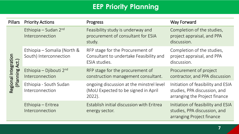## **EEP Priority Planning**

| <b>Pillars</b>                          | <b>Priority Actions</b>                               | Progress                                                                                     | <b>Way Forward</b>                                                                                  |
|-----------------------------------------|-------------------------------------------------------|----------------------------------------------------------------------------------------------|-----------------------------------------------------------------------------------------------------|
| Regional Integration<br>(Planning Act.) | Ethiopia - Sudan 2nd<br>Interconnection               | Feasibility study is underway and<br>procurement of consultant for ESIA<br>study.            | Completion of the studies,<br>project appraisal, and PPA<br>discussion.                             |
|                                         | Ethiopia – Somalia (North &<br>South) Interconnection | RFP stage for the Procurement of<br>Consultant to undertake Feasibility and<br>ESIA studies. | Completion of the studies,<br>project appraisal, and PPA<br>discussion.                             |
|                                         | Ethiopia - Djibouti 2nd<br>Interconnection            | RFP stage for the procurement of<br>construction management consultant.                      | Procurement of project<br>contractor, and PPA discussion                                            |
|                                         | Ethiopia - South Sudan<br>Interconnection             | ongoing discussion at the minstrel level<br>(MoU Expected to be signed in April<br>2022).    | Initiation of feasibility and ESIA<br>studies, PPA discussion, and<br>arranging the Project finance |
|                                         | Ethiopia – Eritrea<br>Interconnection                 | Establish initial discussion with Eritrea<br>energy sector.                                  | Initiation of feasibility and ESIA<br>studies, PPA discussion, and<br>arranging Project finance     |